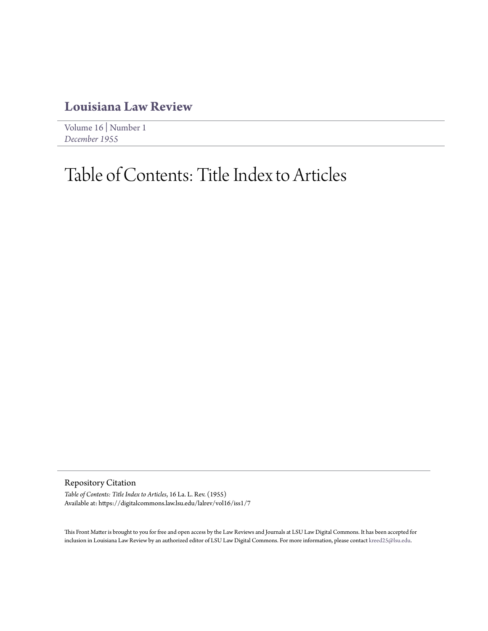## **[Louisiana Law Review](https://digitalcommons.law.lsu.edu/lalrev)**

[Volume 16](https://digitalcommons.law.lsu.edu/lalrev/vol16) | [Number 1](https://digitalcommons.law.lsu.edu/lalrev/vol16/iss1) *[December 1955](https://digitalcommons.law.lsu.edu/lalrev/vol16/iss1)*

## Table of Contents: Title Index to Articles

Repository Citation

*Table of Contents: Title Index to Articles*, 16 La. L. Rev. (1955) Available at: https://digitalcommons.law.lsu.edu/lalrev/vol16/iss1/7

This Front Matter is brought to you for free and open access by the Law Reviews and Journals at LSU Law Digital Commons. It has been accepted for inclusion in Louisiana Law Review by an authorized editor of LSU Law Digital Commons. For more information, please contact [kreed25@lsu.edu](mailto:kreed25@lsu.edu).